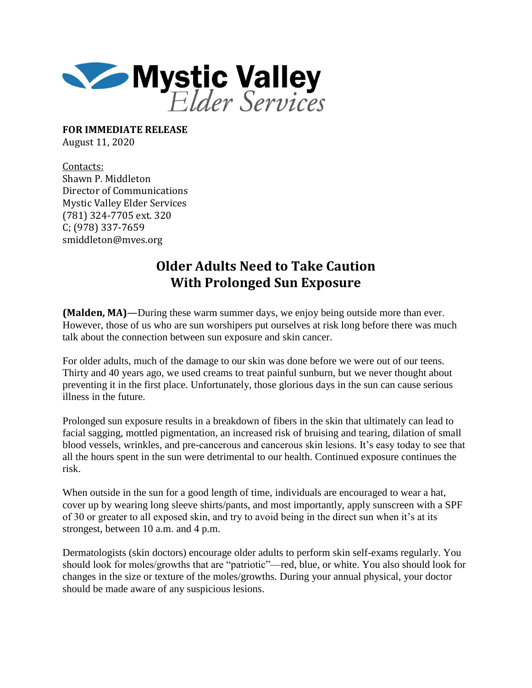

**FOR IMMEDIATE RELEASE** August 11, 2020

Contacts: Shawn P. Middleton Director of Communications Mystic Valley Elder Services (781) 324-7705 ext. 320 C; (978) 337-7659 smiddleton@mves.org

## **Older Adults Need to Take Caution With Prolonged Sun Exposure**

**(Malden, MA)**—During these warm summer days, we enjoy being outside more than ever. However, those of us who are sun worshipers put ourselves at risk long before there was much talk about the connection between sun exposure and skin cancer.

For older adults, much of the damage to our skin was done before we were out of our teens. Thirty and 40 years ago, we used creams to treat painful sunburn, but we never thought about preventing it in the first place. Unfortunately, those glorious days in the sun can cause serious illness in the future.

Prolonged sun exposure results in a breakdown of fibers in the skin that ultimately can lead to facial sagging, mottled pigmentation, an increased risk of bruising and tearing, dilation of small blood vessels, wrinkles, and pre-cancerous and cancerous skin lesions. It's easy today to see that all the hours spent in the sun were detrimental to our health. Continued exposure continues the risk.

When outside in the sun for a good length of time, individuals are encouraged to wear a hat, cover up by wearing long sleeve shirts/pants, and most importantly, apply sunscreen with a SPF of 30 or greater to all exposed skin, and try to avoid being in the direct sun when it's at its strongest, between 10 a.m. and 4 p.m.

Dermatologists (skin doctors) encourage older adults to perform skin self-exams regularly. You should look for moles/growths that are "patriotic"—red, blue, or white. You also should look for changes in the size or texture of the moles/growths. During your annual physical, your doctor should be made aware of any suspicious lesions.